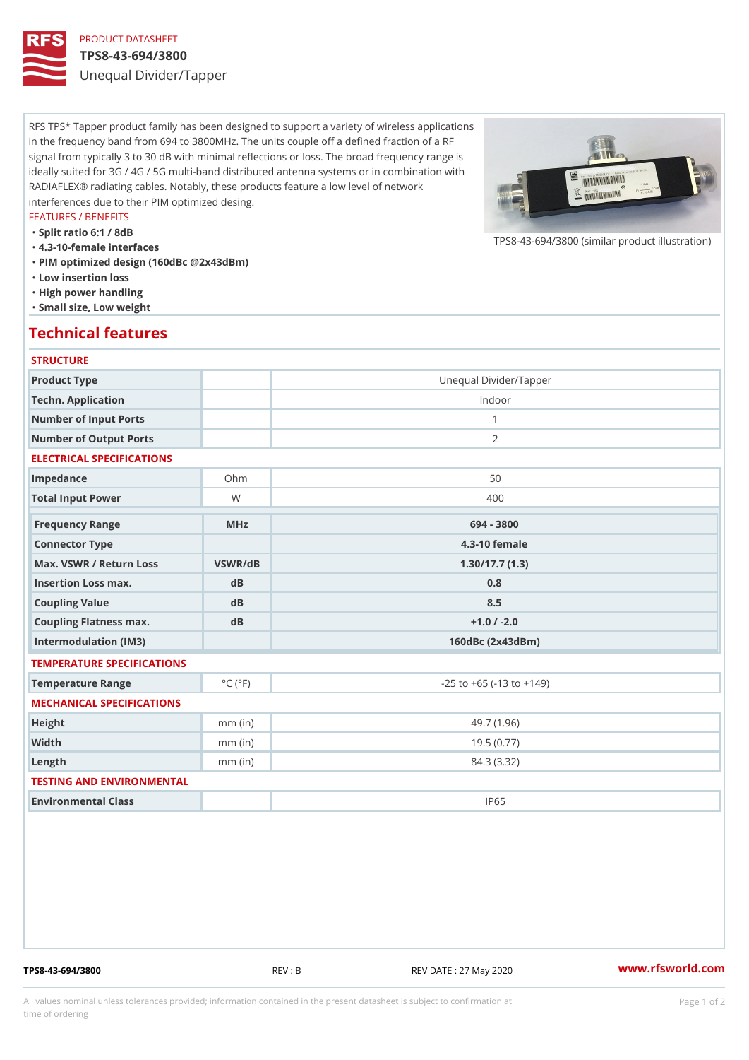# PRODUCT DATASHEET

#### TPS8-43-694/3800

Unequal Divider/Tapper

RFS TPS\* Tapper product family has been designed to support a variety of wireless applications in the frequency band from 694 to 3800MHz. The units couple off a defined fraction of a RF signal from typically 3 to 30 dB with minimal reflections or loss. The broad frequency range is ideally suited for 3G / 4G / 5G multi-band distributed antenna systems or in combination with RADIAFLEX® radiating cables. Notably, these products feature a low level of network interferences due to their PIM optimized desing.

#### FEATURES / BENEFITS

"Split ratio 6:1 / 8dB

- "4.3-10-female interfaces
- "PIM optimized design (160dBc @2x43dBm)
- "Low insertion loss
- "High power handling
- "Small size, Low weight

## Technical features

### **STRUCTURE**

| Product Type                   |                             | Unequal Divider/Tapper             |
|--------------------------------|-----------------------------|------------------------------------|
| Techn. Application             |                             | Indoor                             |
| Number of Input Ports          |                             | $\mathbf{1}$                       |
| Number of Output Ports         |                             | 2                                  |
| ELECTRICAL SPECIFICATIONS      |                             |                                    |
| Impedance                      | $Oh$ m                      | 50                                 |
| Total Input Power              | W                           | 400                                |
| Frequency Range                | MHz                         | 694 - 3800                         |
| Connector Type                 |                             | $4.3 - 10$ female                  |
| Max. VSWR / Return LossVSWR/dB |                             | 1.30/17.7(1.3)                     |
| Insertion Loss max.            | dB                          | 0.8                                |
| Coupling Value                 | dB                          | 8.5                                |
| Coupling Flatness max.         | $d$ B                       | $+1.0$ / -2.0                      |
| Intermodulation (IM3)          |                             | $160dBc$ $(2x43dBm)$               |
| TEMPERATURE SPECIFICATIONS     |                             |                                    |
| Temperature Range              | $^{\circ}$ C ( $^{\circ}$ F | $-25$ to $+65$ ( $-13$ to $+149$ ) |
| MECHANICAL SPECIFICATIONS      |                             |                                    |
| Height                         | $mm$ (in)                   | 49.7 (1.96)                        |
| Width                          | $mm$ (in)                   | 19.5(0.77)                         |
| $L$ ength                      | $mm$ (in)                   | 84.3 (3.32)                        |
| TESTING AND ENVIRONMENTAL      |                             |                                    |
| Environmental Class            |                             | IP65                               |

TPS8-43-694/3800 REV : B REV DATE : 27 May 2020 [www.](https://www.rfsworld.com)rfsworld.com

 $TPS8-43-694/3800$  (similar product

All values nominal unless tolerances provided; information contained in the present datasheet is subject to Pcapgeign manation time of ordering